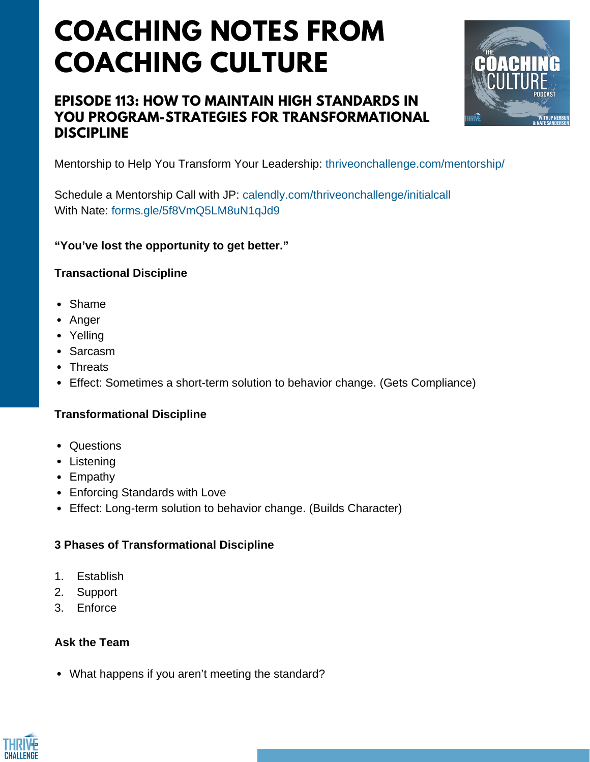# **EPISODE 113: HOW TO MAINTAIN HIGH STANDARDS IN YOU PROGRAM-STRATEGIES FOR TRANSFORMATIONAL DISCIPLINE**



Mentorship to Help You Transform Your Leadership: thriveonchallenge.com/mentorship/

Schedule a Mentorship Call with JP: calendly.com/thriveonchallenge/initialcall With Nate: forms.gle/5f8VmO5LM8uN1qJd9

## **"You've lost the opportunity to get better."**

### **Transactional Discipline**

- Shame
- Anger
- Yelling
- Sarcasm
- Threats
- Effect: Sometimes a short-term solution to behavior change. (Gets Compliance)

### **Transformational Discipline**

- Questions
- Listening
- Empathy
- Enforcing Standards with Love
- Effect: Long-term solution to behavior change. (Builds Character)

### **3 Phases of Transformational Discipline**

- 1. Establish
- 2. Support
- 3. Enforce

### **Ask the Team**

What happens if you aren't meeting the standard?

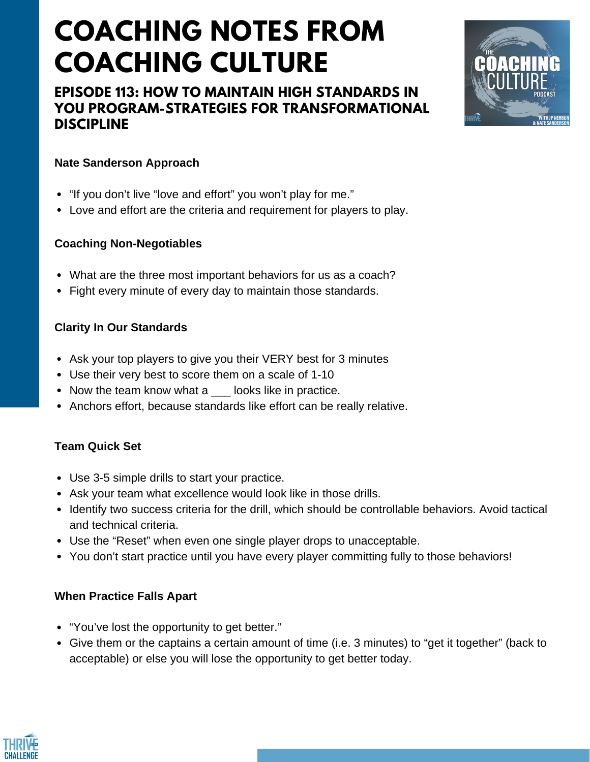# **EPISODE 113: HOW TO MAINTAIN HIGH STANDARDS IN YOU PROGRAM-STRATEGIES FOR TRANSFORMATIONAL DISCIPLINE**



# **Nate Sanderson Approach**

- "If you don't live "love and effort" you won't play for me."
- Love and effort are the criteria and requirement for players to play.

## **Coaching Non-Negotiables**

- What are the three most important behaviors for us as a coach?
- Fight every minute of every day to maintain those standards.

## **Clarity In Our Standards**

- Ask your top players to give you their VERY best for 3 minutes
- Use their very best to score them on a scale of 1-10
- Now the team know what a looks like in practice.
- Anchors effort, because standards like effort can be really relative.

# **Team Quick Set**

- Use 3-5 simple drills to start your practice.
- Ask your team what excellence would look like in those drills.
- Identify two success criteria for the drill, which should be controllable behaviors. Avoid tactical and technical criteria.
- Use the "Reset" when even one single player drops to unacceptable.
- You don't start practice until you have every player committing fully to those behaviors!

# **When Practice Falls Apart**

- "You've lost the opportunity to get better."
- Give them or the captains a certain amount of time (i.e. 3 minutes) to "get it together" (back to acceptable) or else you will lose the opportunity to get better today.

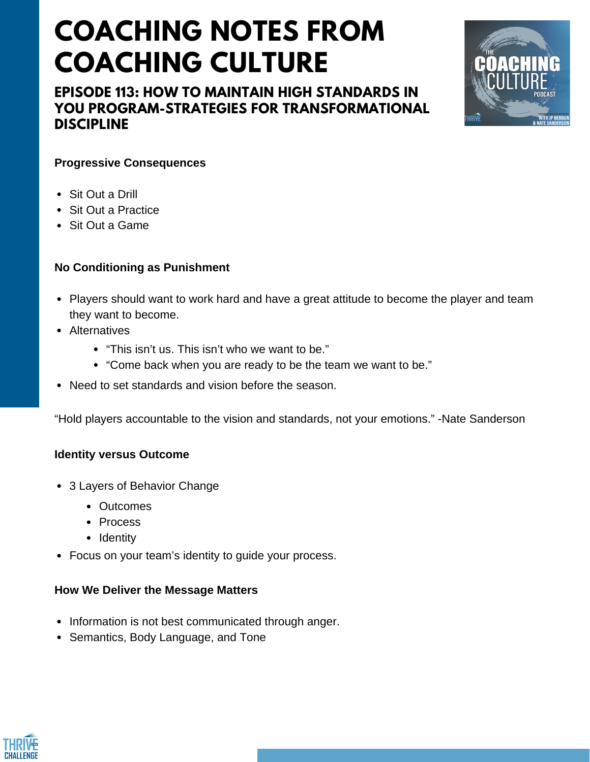**EPISODE 113: HOW TO MAINTAIN HIGH STANDARDS IN YOU PROGRAM-STRATEGIES FOR TRANSFORMATIONAL DISCIPLINE**



#### **Progressive Consequences**

- Sit Out a Drill
- Sit Out a Practice
- Sit Out a Game

#### **No Conditioning as Punishment**

- Players should want to work hard and have a great attitude to become the player and team they want to become.
- Alternatives
	- "This isn't us. This isn't who we want to be."
	- "Come back when you are ready to be the team we want to be."
- Need to set standards and vision before the season.

"Hold players accountable to the vision and standards, not your emotions." -Nate Sanderson

#### **Identity versus Outcome**

- 3 Layers of Behavior Change
	- Outcomes
	- Process
	- Identity
- Focus on your team's identity to guide your process.

#### **How We Deliver the Message Matters**

- Information is not best communicated through anger.
- Semantics, Body Language, and Tone